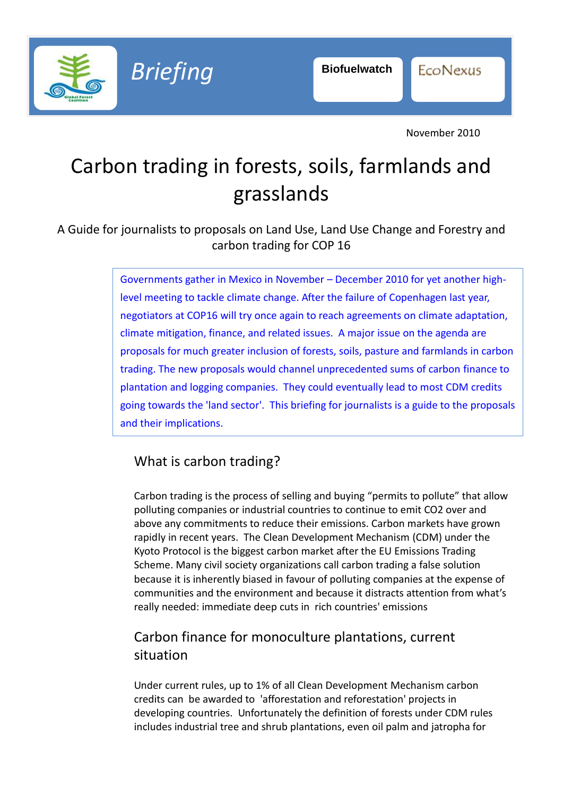

**EcoNexus** 

November 2010

# Carbon trading in forests, soils, farmlands and grasslands

A Guide for journalists to proposals on Land Use, Land Use Change and Forestry and carbon trading for COP 16

> Governments gather in Mexico in November – December 2010 for yet another highlevel meeting to tackle climate change. After the failure of Copenhagen last year, negotiators at COP16 will try once again to reach agreements on climate adaptation, climate mitigation, finance, and related issues. A major issue on the agenda are proposals for much greater inclusion of forests, soils, pasture and farmlands in carbon trading. The new proposals would channel unprecedented sums of carbon finance to plantation and logging companies. They could eventually lead to most CDM credits going towards the 'land sector'. This briefing for journalists is a guide to the proposals and their implications.

## What is carbon trading?

Carbon trading is the process of selling and buying "permits to pollute" that allow polluting companies or industrial countries to continue to emit CO2 over and above any commitments to reduce their emissions. Carbon markets have grown rapidly in recent years. The Clean Development Mechanism (CDM) under the Kyoto Protocol is the biggest carbon market after the EU Emissions Trading Scheme. Many civil society organizations call carbon trading a false solution because it is inherently biased in favour of polluting companies at the expense of communities and the environment and because it distracts attention from what's really needed: immediate deep cuts in rich countries' emissions

## Carbon finance for monoculture plantations, current situation

Under current rules, up to 1% of all Clean Development Mechanism carbon credits can be awarded to 'afforestation and reforestation' projects in developing countries. Unfortunately the definition of forests under CDM rules includes industrial tree and shrub plantations, even oil palm and jatropha for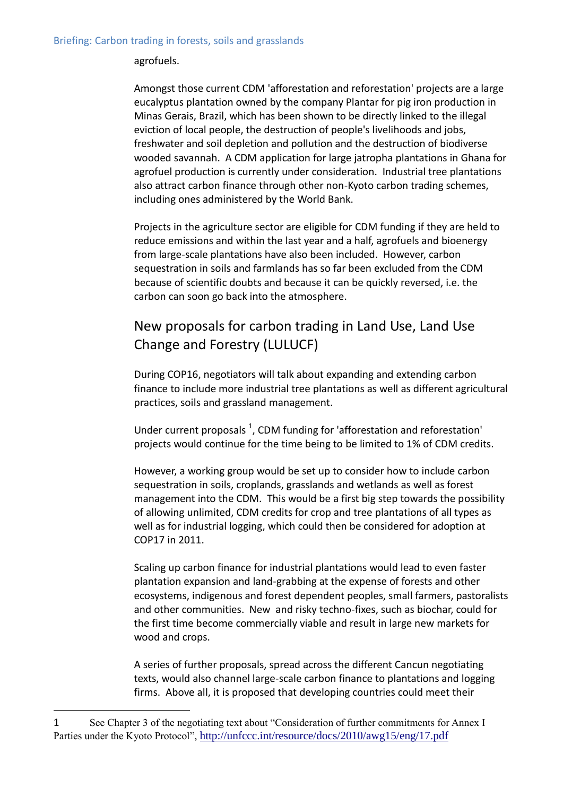#### agrofuels.

Amongst those current CDM 'afforestation and reforestation' projects are a large eucalyptus plantation owned by the company Plantar for pig iron production in Minas Gerais, Brazil, which has been shown to be directly linked to the illegal eviction of local people, the destruction of people's livelihoods and jobs, freshwater and soil depletion and pollution and the destruction of biodiverse wooded savannah. A CDM application for large jatropha plantations in Ghana for agrofuel production is currently under consideration. Industrial tree plantations also attract carbon finance through other non-Kyoto carbon trading schemes, including ones administered by the World Bank.

Projects in the agriculture sector are eligible for CDM funding if they are held to reduce emissions and within the last year and a half, agrofuels and bioenergy from large-scale plantations have also been included. However, carbon sequestration in soils and farmlands has so far been excluded from the CDM because of scientific doubts and because it can be quickly reversed, i.e. the carbon can soon go back into the atmosphere.

## New proposals for carbon trading in Land Use, Land Use Change and Forestry (LULUCF)

During COP16, negotiators will talk about expanding and extending carbon finance to include more industrial tree plantations as well as different agricultural practices, soils and grassland management.

Under current proposals  $^1$ , CDM funding for 'afforestation and reforestation' projects would continue for the time being to be limited to 1% of CDM credits.

However, a working group would be set up to consider how to include carbon sequestration in soils, croplands, grasslands and wetlands as well as forest management into the CDM. This would be a first big step towards the possibility of allowing unlimited, CDM credits for crop and tree plantations of all types as well as for industrial logging, which could then be considered for adoption at COP17 in 2011.

Scaling up carbon finance for industrial plantations would lead to even faster plantation expansion and land-grabbing at the expense of forests and other ecosystems, indigenous and forest dependent peoples, small farmers, pastoralists and other communities. New and risky techno-fixes, such as biochar, could for the first time become commercially viable and result in large new markets for wood and crops.

A series of further proposals, spread across the different Cancun negotiating texts, would also channel large-scale carbon finance to plantations and logging firms. Above all, it is proposed that developing countries could meet their

1

<sup>1</sup> See Chapter 3 of the negotiating text about "Consideration of further commitments for Annex I Parties under the Kyoto Protocol", <http://unfccc.int/resource/docs/2010/awg15/eng/17.pdf>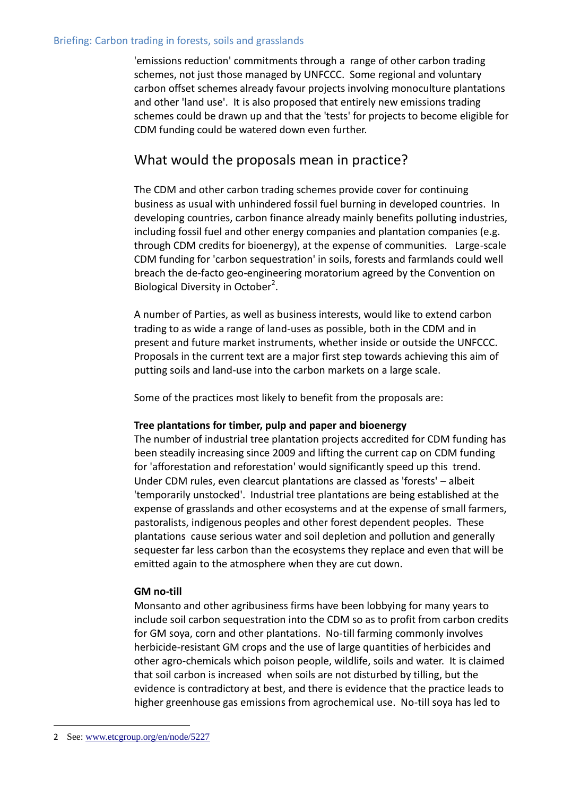#### Briefing: Carbon trading in forests, soils and grasslands

'emissions reduction' commitments through a range of other carbon trading schemes, not just those managed by UNFCCC. Some regional and voluntary carbon offset schemes already favour projects involving monoculture plantations and other 'land use'. It is also proposed that entirely new emissions trading schemes could be drawn up and that the 'tests' for projects to become eligible for CDM funding could be watered down even further.

### What would the proposals mean in practice?

The CDM and other carbon trading schemes provide cover for continuing business as usual with unhindered fossil fuel burning in developed countries. In developing countries, carbon finance already mainly benefits polluting industries, including fossil fuel and other energy companies and plantation companies (e.g. through CDM credits for bioenergy), at the expense of communities. Large-scale CDM funding for 'carbon sequestration' in soils, forests and farmlands could well breach the de-facto geo-engineering moratorium agreed by the Convention on Biological Diversity in October<sup>2</sup>.

A number of Parties, as well as business interests, would like to extend carbon trading to as wide a range of land-uses as possible, both in the CDM and in present and future market instruments, whether inside or outside the UNFCCC. Proposals in the current text are a major first step towards achieving this aim of putting soils and land-use into the carbon markets on a large scale.

Some of the practices most likely to benefit from the proposals are:

#### **Tree plantations for timber, pulp and paper and bioenergy**

The number of industrial tree plantation projects accredited for CDM funding has been steadily increasing since 2009 and lifting the current cap on CDM funding for 'afforestation and reforestation' would significantly speed up this trend. Under CDM rules, even clearcut plantations are classed as 'forests' – albeit 'temporarily unstocked'. Industrial tree plantations are being established at the expense of grasslands and other ecosystems and at the expense of small farmers, pastoralists, indigenous peoples and other forest dependent peoples. These plantations cause serious water and soil depletion and pollution and generally sequester far less carbon than the ecosystems they replace and even that will be emitted again to the atmosphere when they are cut down.

#### **GM no-till**

Monsanto and other agribusiness firms have been lobbying for many years to include soil carbon sequestration into the CDM so as to profit from carbon credits for GM soya, corn and other plantations. No-till farming commonly involves herbicide-resistant GM crops and the use of large quantities of herbicides and other agro-chemicals which poison people, wildlife, soils and water. It is claimed that soil carbon is increased when soils are not disturbed by tilling, but the evidence is contradictory at best, and there is evidence that the practice leads to higher greenhouse gas emissions from agrochemical use. No-till soya has led to

1

<sup>2</sup> See: [www.etcgroup.org/en/node/5227](http://www.etcgroup.org/en/node/5227)